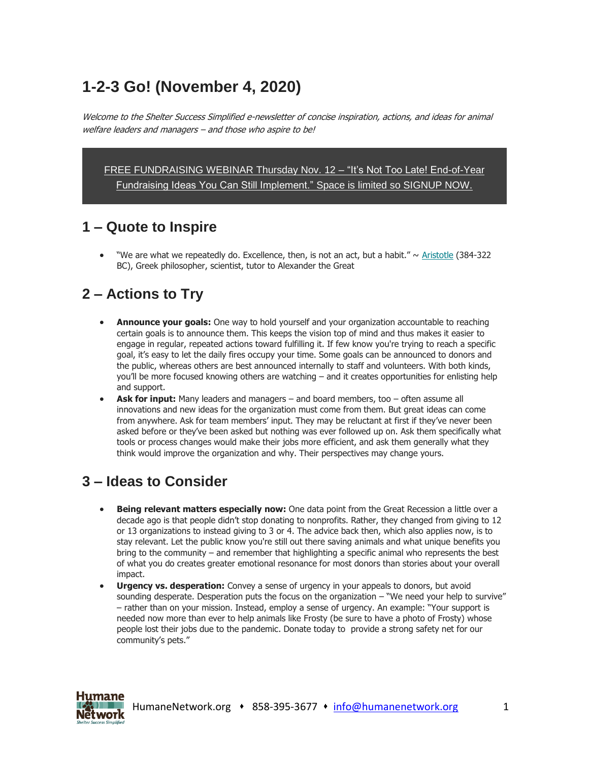# **1-2-3 Go! (November 4, 2020)**

Welcome to the Shelter Success Simplified e-newsletter of concise inspiration, actions, and ideas for animal welfare leaders and managers – and those who aspire to be!

[FREE FUNDRAISING WEBINAR Thursday Nov. 12](https://humanenetwork.us11.list-manage.com/track/click?u=dfa1d28456c119dd1d7d75735&id=7ad29d5d34&e=ed9b029c42) – "It's Not Too Late! End-of-Year [Fundraising Ideas You Can Still Implement."](https://humanenetwork.us11.list-manage.com/track/click?u=dfa1d28456c119dd1d7d75735&id=7ad29d5d34&e=ed9b029c42) Space is limited so SIGNUP NOW.

#### **1 – Quote to Inspire**

"We are what we repeatedly do. Excellence, then, is not an act, but a habit."  $\sim$  [Aristotle](https://humanenetwork.us11.list-manage.com/track/click?u=dfa1d28456c119dd1d7d75735&id=0b8fe2c7b0&e=ed9b029c42) (384-322) BC), Greek philosopher, scientist, tutor to Alexander the Great

### **2 – Actions to Try**

- **Announce your goals:** One way to hold yourself and your organization accountable to reaching certain goals is to announce them. This keeps the vision top of mind and thus makes it easier to engage in regular, repeated actions toward fulfilling it. If few know you're trying to reach a specific goal, it's easy to let the daily fires occupy your time. Some goals can be announced to donors and the public, whereas others are best announced internally to staff and volunteers. With both kinds, you'll be more focused knowing others are watching – and it creates opportunities for enlisting help and support.
- **Ask for input:** Many leaders and managers and board members, too often assume all innovations and new ideas for the organization must come from them. But great ideas can come from anywhere. Ask for team members' input. They may be reluctant at first if they've never been asked before or they've been asked but nothing was ever followed up on. Ask them specifically what tools or process changes would make their jobs more efficient, and ask them generally what they think would improve the organization and why. Their perspectives may change yours.

## **3 – Ideas to Consider**

- **Being relevant matters especially now:** One data point from the Great Recession a little over a decade ago is that people didn't stop donating to nonprofits. Rather, they changed from giving to 12 or 13 organizations to instead giving to 3 or 4. The advice back then, which also applies now, is to stay relevant. Let the public know you're still out there saving animals and what unique benefits you bring to the community – and remember that highlighting a specific animal who represents the best of what you do creates greater emotional resonance for most donors than stories about your overall impact.
- **Urgency vs. desperation:** Convey a sense of urgency in your appeals to donors, but avoid sounding desperate. Desperation puts the focus on the organization – "We need your help to survive" – rather than on your mission. Instead, employ a sense of urgency. An example: "Your support is needed now more than ever to help animals like Frosty (be sure to have a photo of Frosty) whose people lost their jobs due to the pandemic. Donate today to provide a strong safety net for our community's pets."